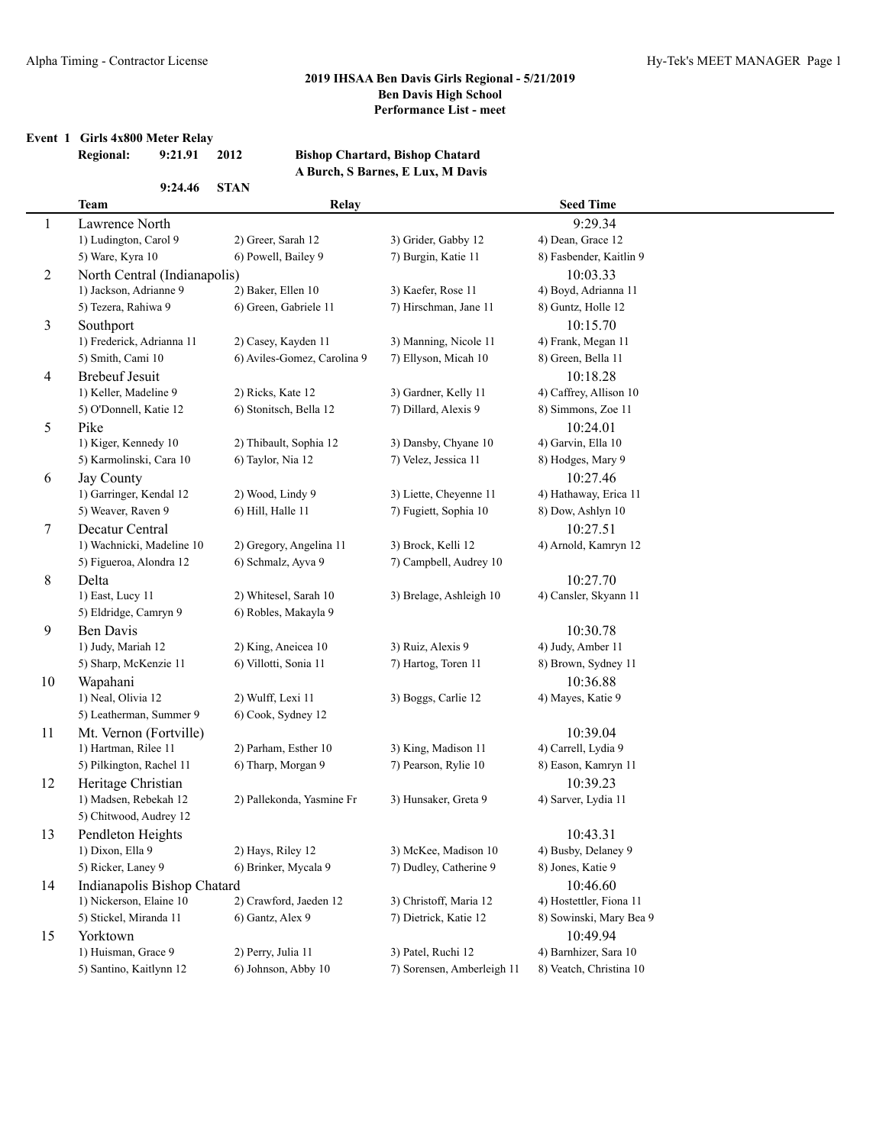## **Event 1 Girls 4x800 Meter Relay**

# **Regional: 9:21.91 2012 Bishop Chartard, Bishop Chatard A Burch, S Barnes, E Lux, M Davis**

|              | 9:24.46                                        | <b>STAN</b>                                  |                                          |                                          |  |
|--------------|------------------------------------------------|----------------------------------------------|------------------------------------------|------------------------------------------|--|
|              | <b>Team</b>                                    | Relay                                        |                                          | <b>Seed Time</b>                         |  |
| $\mathbf{1}$ | Lawrence North                                 |                                              |                                          | 9:29.34                                  |  |
|              | 1) Ludington, Carol 9                          | 2) Greer, Sarah 12                           | 3) Grider, Gabby 12                      | 4) Dean, Grace 12                        |  |
|              | 5) Ware, Kyra 10                               | 6) Powell, Bailey 9                          | 7) Burgin, Katie 11                      | 8) Fasbender, Kaitlin 9                  |  |
| 2            | North Central (Indianapolis)                   |                                              |                                          | 10:03.33                                 |  |
|              | 1) Jackson, Adrianne 9                         | 2) Baker, Ellen 10                           | 3) Kaefer, Rose 11                       | 4) Boyd, Adrianna 11                     |  |
|              | 5) Tezera, Rahiwa 9                            | 6) Green, Gabriele 11                        | 7) Hirschman, Jane 11                    | 8) Guntz, Holle 12                       |  |
| 3            | Southport                                      |                                              |                                          | 10:15.70                                 |  |
|              | 1) Frederick, Adrianna 11                      | 2) Casey, Kayden 11                          | 3) Manning, Nicole 11                    | 4) Frank, Megan 11                       |  |
|              | 5) Smith, Cami 10                              | 6) Aviles-Gomez, Carolina 9                  | 7) Ellyson, Micah 10                     | 8) Green, Bella 11                       |  |
| 4            | <b>Brebeuf Jesuit</b>                          |                                              |                                          | 10:18.28                                 |  |
|              | 1) Keller, Madeline 9                          | 2) Ricks, Kate 12                            | 3) Gardner, Kelly 11                     | 4) Caffrey, Allison 10                   |  |
|              | 5) O'Donnell, Katie 12                         | 6) Stonitsch, Bella 12                       | 7) Dillard, Alexis 9                     | 8) Simmons, Zoe 11                       |  |
| 5            | Pike                                           |                                              |                                          | 10:24.01                                 |  |
|              | 1) Kiger, Kennedy 10                           | 2) Thibault, Sophia 12                       | 3) Dansby, Chyane 10                     | 4) Garvin, Ella 10                       |  |
|              | 5) Karmolinski, Cara 10                        | 6) Taylor, Nia 12                            | 7) Velez, Jessica 11                     | 8) Hodges, Mary 9                        |  |
| 6            | <b>Jay County</b>                              |                                              |                                          | 10:27.46                                 |  |
|              | 1) Garringer, Kendal 12                        | 2) Wood, Lindy 9                             | 3) Liette, Cheyenne 11                   | 4) Hathaway, Erica 11                    |  |
|              | 5) Weaver, Raven 9                             | 6) Hill, Halle 11                            | 7) Fugiett, Sophia 10                    | 8) Dow, Ashlyn 10                        |  |
| 7            | Decatur Central                                |                                              |                                          | 10:27.51                                 |  |
|              | 1) Wachnicki, Madeline 10                      | 2) Gregory, Angelina 11                      | 3) Brock, Kelli 12                       | 4) Arnold, Kamryn 12                     |  |
|              | 5) Figueroa, Alondra 12                        | 6) Schmalz, Ayva 9                           | 7) Campbell, Audrey 10                   |                                          |  |
| 8            | Delta                                          |                                              |                                          | 10:27.70                                 |  |
|              | 1) East, Lucy 11                               | 2) Whitesel, Sarah 10                        | 3) Brelage, Ashleigh 10                  | 4) Cansler, Skyann 11                    |  |
|              | 5) Eldridge, Camryn 9                          | 6) Robles, Makayla 9                         |                                          |                                          |  |
| 9            | Ben Davis                                      |                                              |                                          | 10:30.78                                 |  |
|              | 1) Judy, Mariah 12<br>5) Sharp, McKenzie 11    | 2) King, Aneicea 10<br>6) Villotti, Sonia 11 | 3) Ruiz, Alexis 9<br>7) Hartog, Toren 11 | 4) Judy, Amber 11<br>8) Brown, Sydney 11 |  |
|              |                                                |                                              |                                          |                                          |  |
| 10           | Wapahani<br>1) Neal, Olivia 12                 | 2) Wulff, Lexi 11                            | 3) Boggs, Carlie 12                      | 10:36.88<br>4) Mayes, Katie 9            |  |
|              | 5) Leatherman, Summer 9                        | 6) Cook, Sydney 12                           |                                          |                                          |  |
|              |                                                |                                              |                                          | 10:39.04                                 |  |
| 11           | Mt. Vernon (Fortville)<br>1) Hartman, Rilee 11 | 2) Parham, Esther 10                         | 3) King, Madison 11                      | 4) Carrell, Lydia 9                      |  |
|              | 5) Pilkington, Rachel 11                       | 6) Tharp, Morgan 9                           | 7) Pearson, Rylie 10                     | 8) Eason, Kamryn 11                      |  |
| 12           | Heritage Christian                             |                                              |                                          | 10:39.23                                 |  |
|              | 1) Madsen, Rebekah 12                          | 2) Pallekonda, Yasmine Fr                    | 3) Hunsaker, Greta 9                     | 4) Sarver, Lydia 11                      |  |
|              | 5) Chitwood, Audrey 12                         |                                              |                                          |                                          |  |
| 13           | Pendleton Heights                              |                                              |                                          | 10:43.31                                 |  |
|              | 1) Dixon, Ella 9                               | 2) Hays, Riley 12                            | 3) McKee, Madison 10                     | 4) Busby, Delaney 9                      |  |
|              | 5) Ricker, Laney 9                             | 6) Brinker, Mycala 9                         | 7) Dudley, Catherine 9                   | 8) Jones, Katie 9                        |  |
| 14           | Indianapolis Bishop Chatard                    |                                              |                                          | 10:46.60                                 |  |
|              | 1) Nickerson, Elaine 10                        | 2) Crawford, Jaeden 12                       | 3) Christoff, Maria 12                   | 4) Hostettler, Fiona 11                  |  |
|              | 5) Stickel, Miranda 11                         | 6) Gantz, Alex 9                             | 7) Dietrick, Katie 12                    | 8) Sowinski, Mary Bea 9                  |  |
| 15           | Yorktown                                       |                                              |                                          | 10:49.94                                 |  |
|              | 1) Huisman, Grace 9                            | 2) Perry, Julia 11                           | 3) Patel, Ruchi 12                       | 4) Barnhizer, Sara 10                    |  |
|              | 5) Santino, Kaitlynn 12                        | 6) Johnson, Abby 10                          | 7) Sorensen, Amberleigh 11               | 8) Veatch, Christina 10                  |  |
|              |                                                |                                              |                                          |                                          |  |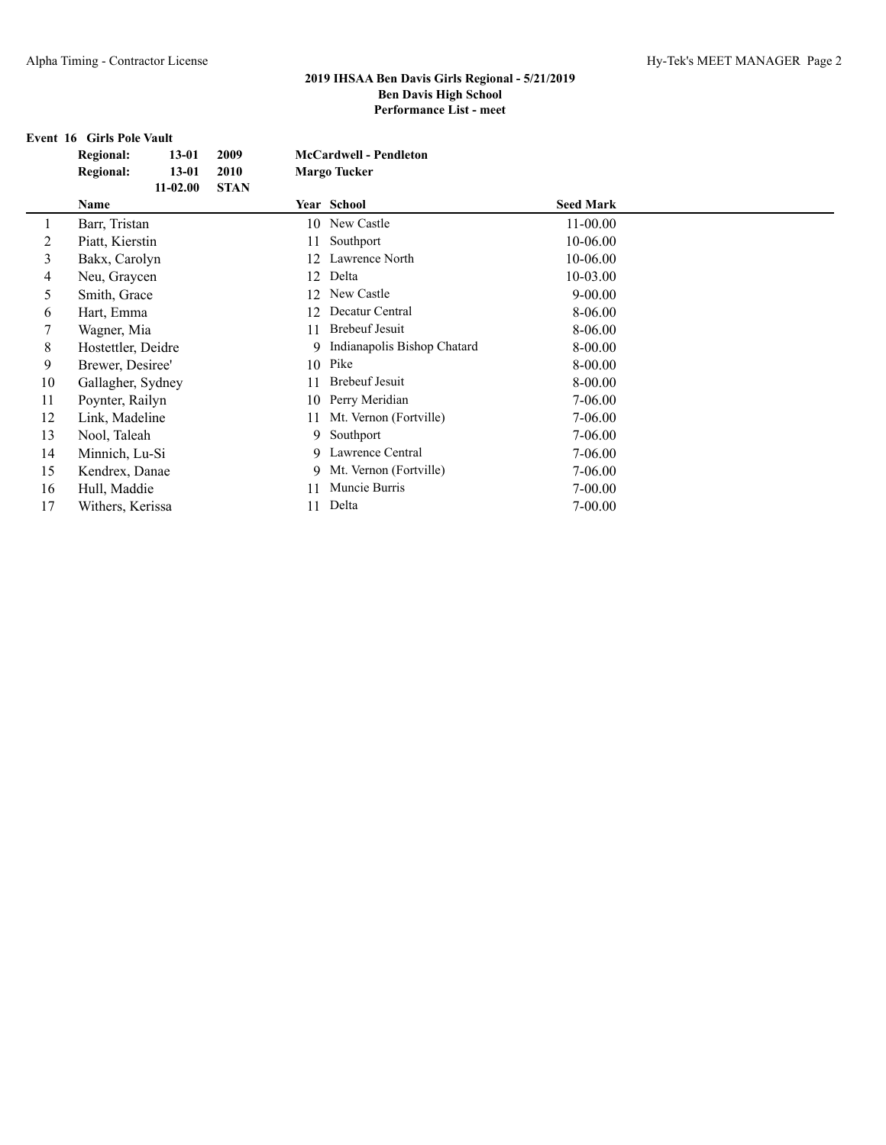|    | <b>Event 16 Girls Pole Vault</b> |              |             |    |                               |                  |  |
|----|----------------------------------|--------------|-------------|----|-------------------------------|------------------|--|
|    | <b>Regional:</b>                 | $13 - 01$    | 2009        |    | <b>McCardwell - Pendleton</b> |                  |  |
|    | <b>Regional:</b>                 | $13 - 01$    | 2010        |    | <b>Margo Tucker</b>           |                  |  |
|    |                                  | $11 - 02.00$ | <b>STAN</b> |    |                               |                  |  |
|    | <b>Name</b>                      |              |             |    | Year School                   | <b>Seed Mark</b> |  |
|    | Barr, Tristan                    |              |             |    | 10 New Castle                 | $11 - 00.00$     |  |
| 2  | Piatt, Kierstin                  |              |             | 11 | Southport                     | 10-06.00         |  |
| 3  | Bakx, Carolyn                    |              |             |    | 12 Lawrence North             | 10-06.00         |  |
| 4  | Neu, Graycen                     |              |             | 12 | Delta                         | 10-03.00         |  |
| 5  | Smith, Grace                     |              |             | 12 | New Castle                    | $9 - 00.00$      |  |
| 6  | Hart, Emma                       |              |             | 12 | Decatur Central               | 8-06.00          |  |
| 7  | Wagner, Mia                      |              |             | 11 | <b>Brebeuf Jesuit</b>         | 8-06.00          |  |
| 8  | Hostettler, Deidre               |              |             | 9  | Indianapolis Bishop Chatard   | 8-00.00          |  |
| 9  | Brewer, Desiree'                 |              |             |    | 10 Pike                       | 8-00.00          |  |
| 10 | Gallagher, Sydney                |              |             | 11 | Brebeuf Jesuit                | 8-00.00          |  |
| 11 | Poynter, Railyn                  |              |             | 10 | Perry Meridian                | 7-06.00          |  |
| 12 | Link, Madeline                   |              |             | 11 | Mt. Vernon (Fortville)        | 7-06.00          |  |
| 13 | Nool, Taleah                     |              |             |    | 9 Southport                   | 7-06.00          |  |
| 14 | Minnich, Lu-Si                   |              |             | 9  | Lawrence Central              | 7-06.00          |  |
| 15 | Kendrex, Danae                   |              |             | 9  | Mt. Vernon (Fortville)        | 7-06.00          |  |
| 16 | Hull, Maddie                     |              |             | 11 | Muncie Burris                 | $7 - 00.00$      |  |
| 17 | Withers, Kerissa                 |              |             |    | 11 Delta                      | 7-00.00          |  |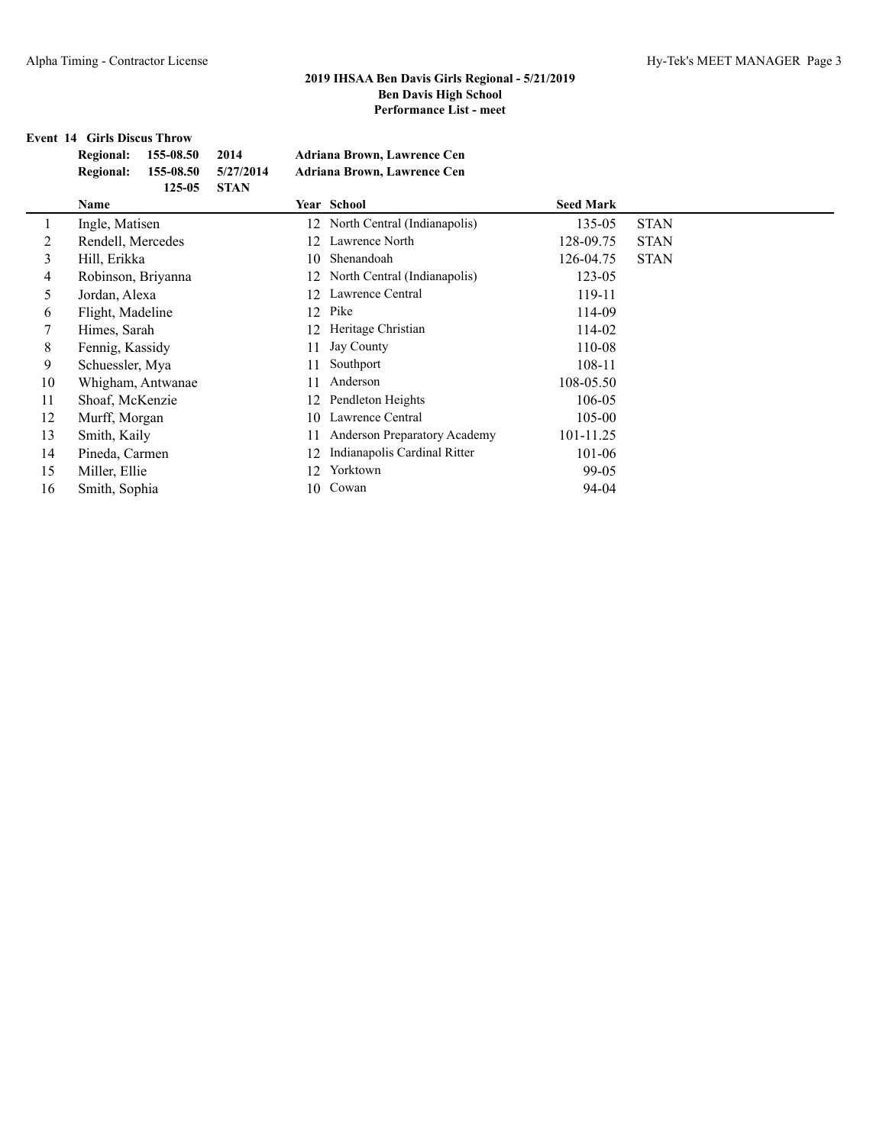# **Event 14 Girls Discus Throw**

|              | <b>Regional:</b><br>155-08.50 | 2014        |     | <b>Adriana Brown, Lawrence Cen</b>  |                  |             |
|--------------|-------------------------------|-------------|-----|-------------------------------------|------------------|-------------|
|              | <b>Regional:</b><br>155-08.50 | 5/27/2014   |     | <b>Adriana Brown, Lawrence Cen</b>  |                  |             |
|              | 125-05<br>Name                | <b>STAN</b> |     | Year School                         | <b>Seed Mark</b> |             |
| $\mathbf{1}$ | Ingle, Matisen                |             |     | 12 North Central (Indianapolis)     | 135-05           | <b>STAN</b> |
| 2            | Rendell, Mercedes             |             | 12  | Lawrence North                      | 128-09.75        | <b>STAN</b> |
| 3            | Hill, Erikka                  |             | 10  | Shenandoah                          | 126-04.75        | <b>STAN</b> |
| 4            | Robinson, Briyanna            |             |     | 12 North Central (Indianapolis)     | 123-05           |             |
| 5.           | Jordan, Alexa                 |             |     | 12 Lawrence Central                 | 119-11           |             |
| 6            | Flight, Madeline              |             | 12  | Pike                                | 114-09           |             |
|              | Himes, Sarah                  |             | 12. | Heritage Christian                  | 114-02           |             |
| 8            | Fennig, Kassidy               |             | 11  | Jay County                          | 110-08           |             |
| 9            | Schuessler, Mya               |             |     | Southport                           | 108-11           |             |
| 10           | Whigham, Antwanae             |             | 11  | Anderson                            | 108-05.50        |             |
| 11           | Shoaf, McKenzie               |             | 12  | Pendleton Heights                   | 106-05           |             |
| 12           | Murff, Morgan                 |             | 10  | Lawrence Central                    | $105 - 00$       |             |
| 13           | Smith, Kaily                  |             | 11  | <b>Anderson Preparatory Academy</b> | 101-11.25        |             |
| 14           | Pineda, Carmen                |             | 12  | Indianapolis Cardinal Ritter        | $101 - 06$       |             |
| 15           | Miller, Ellie                 |             | 12  | Yorktown                            | 99-05            |             |
| 16           | Smith, Sophia                 |             | 10  | Cowan                               | 94-04            |             |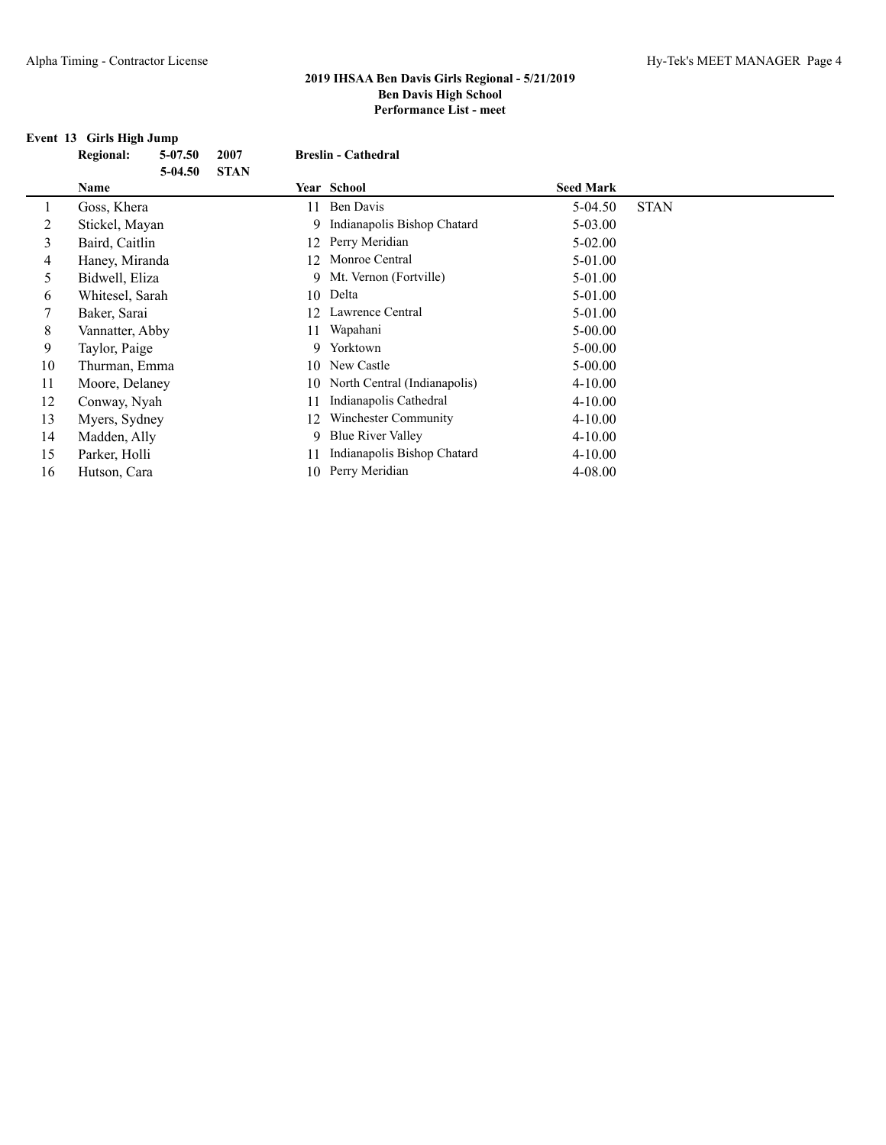#### **Event 13 Girls High Jump**

|    | <b>Regional:</b> | 5-07.50 | 2007        |    | <b>Breslin - Cathedral</b>    |                  |             |
|----|------------------|---------|-------------|----|-------------------------------|------------------|-------------|
|    |                  | 5-04.50 | <b>STAN</b> |    |                               |                  |             |
|    | Name             |         |             |    | <b>Year School</b>            | <b>Seed Mark</b> |             |
|    | Goss, Khera      |         |             | 11 | Ben Davis                     | 5-04.50          | <b>STAN</b> |
| 2  | Stickel, Mayan   |         |             |    | 9 Indianapolis Bishop Chatard | $5 - 03.00$      |             |
| 3  | Baird, Caitlin   |         |             | 12 | Perry Meridian                | $5 - 02.00$      |             |
| 4  | Haney, Miranda   |         |             | 12 | Monroe Central                | 5-01.00          |             |
| 5  | Bidwell, Eliza   |         |             | 9. | Mt. Vernon (Fortville)        | 5-01.00          |             |
| 6  | Whitesel, Sarah  |         |             | 10 | Delta                         | 5-01.00          |             |
| 7  | Baker, Sarai     |         |             | 12 | Lawrence Central              | 5-01.00          |             |
| 8  | Vannatter, Abby  |         |             | 11 | Wapahani                      | $5 - 00.00$      |             |
| 9  | Taylor, Paige    |         |             | 9  | Yorktown                      | $5 - 00.00$      |             |
| 10 | Thurman, Emma    |         |             | 10 | New Castle                    | $5 - 00.00$      |             |
| 11 | Moore, Delaney   |         |             | 10 | North Central (Indianapolis)  | $4 - 10.00$      |             |
| 12 | Conway, Nyah     |         |             | 11 | Indianapolis Cathedral        | $4 - 10.00$      |             |
| 13 | Myers, Sydney    |         |             | 12 | Winchester Community          | $4 - 10.00$      |             |
| 14 | Madden, Ally     |         |             | 9. | Blue River Valley             | $4 - 10.00$      |             |
| 15 | Parker, Holli    |         |             | 11 | Indianapolis Bishop Chatard   | $4 - 10.00$      |             |
| 16 | Hutson, Cara     |         |             | 10 | Perry Meridian                | 4-08.00          |             |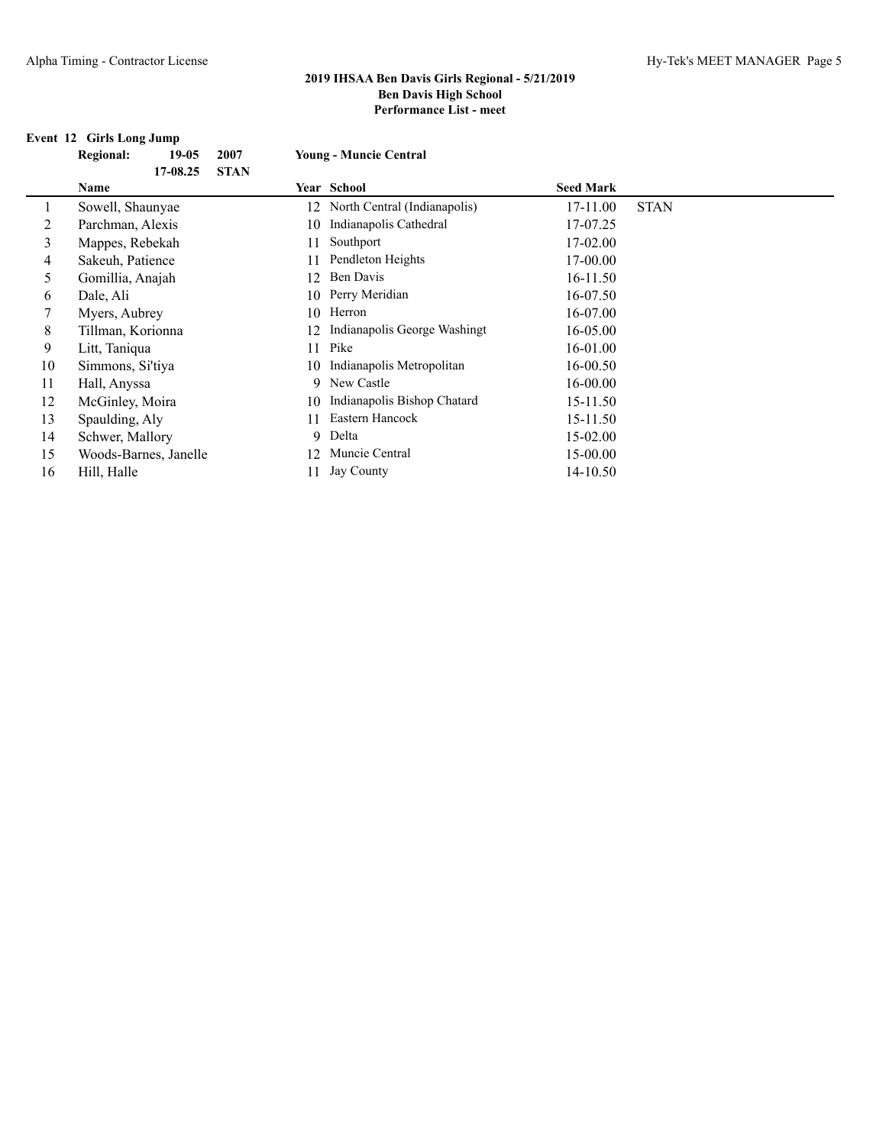# **Event 12 Girls Long Jump<br>Regional:** 19-05 2007

|    | <b>Regional:</b><br>$19-05$<br>2007 | <b>Young - Muncie Central</b>      |                         |
|----|-------------------------------------|------------------------------------|-------------------------|
|    | 17-08.25<br><b>STAN</b><br>Name     | Year School                        | <b>Seed Mark</b>        |
|    | Sowell, Shaunyae                    | North Central (Indianapolis)<br>12 | <b>STAN</b><br>17-11.00 |
| 2  | Parchman, Alexis                    | Indianapolis Cathedral<br>10       | 17-07.25                |
| 3  | Mappes, Rebekah                     | Southport<br>11                    | 17-02.00                |
| 4  | Sakeuh, Patience                    | Pendleton Heights<br>11.           | 17-00.00                |
| 5  | Gomillia, Anajah                    | Ben Davis<br>12                    | 16-11.50                |
| 6  | Dale, Ali                           | 10 Perry Meridian                  | 16-07.50                |
|    | Myers, Aubrey                       | Herron<br>10                       | 16-07.00                |
| 8  | Tillman, Korionna                   | Indianapolis George Washingt<br>12 | 16-05.00                |
| 9  | Litt, Taniqua                       | Pike<br>11                         | 16-01.00                |
| 10 | Simmons, Si'tiya                    | Indianapolis Metropolitan<br>10    | 16-00.50                |
| 11 | Hall, Anyssa                        | 9 New Castle                       | 16-00.00                |
| 12 | McGinley, Moira                     | Indianapolis Bishop Chatard<br>10  | 15-11.50                |
| 13 | Spaulding, Aly                      | Eastern Hancock<br>11              | 15-11.50                |
| 14 | Schwer, Mallory                     | Delta<br>9                         | $15-02.00$              |
| 15 | Woods-Barnes, Janelle               | Muncie Central<br>12               | 15-00.00                |
| 16 | Hill, Halle                         | Jay County<br>11                   | 14-10.50                |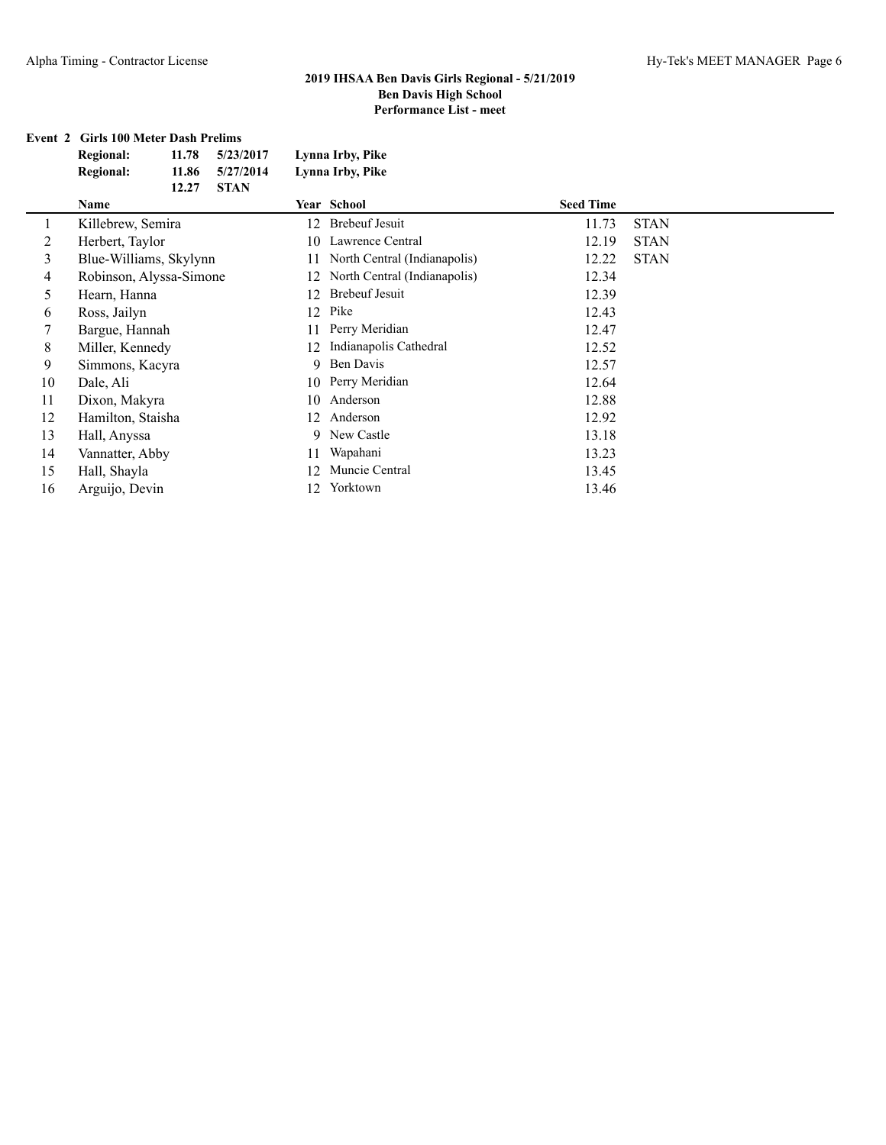# **Event 2 Girls 100 Meter Dash Prelims**

|                | <b>Regional:</b><br>11.78<br>5/23/2017 | Lynna Irby, Pike                   |                      |
|----------------|----------------------------------------|------------------------------------|----------------------|
|                | <b>Regional:</b><br>5/27/2014<br>11.86 | Lynna Irby, Pike                   |                      |
|                | <b>STAN</b><br>12.27<br>Name           | Year School                        | <b>Seed Time</b>     |
|                | Killebrew, Semira                      | <b>Brebeuf Jesuit</b><br>12        | <b>STAN</b><br>11.73 |
| 2              | Herbert, Taylor                        | Lawrence Central<br>10             | <b>STAN</b><br>12.19 |
| 3              | Blue-Williams, Skylynn                 | North Central (Indianapolis)<br>11 | 12.22<br><b>STAN</b> |
| $\overline{4}$ | Robinson, Alyssa-Simone                | North Central (Indianapolis)<br>12 | 12.34                |
| 5              | Hearn, Hanna                           | <b>Brebeuf Jesuit</b><br>12        | 12.39                |
| 6              | Ross, Jailyn                           | Pike<br>12                         | 12.43                |
| 7              | Bargue, Hannah                         | Perry Meridian<br>11               | 12.47                |
| 8              | Miller, Kennedy                        | Indianapolis Cathedral<br>12       | 12.52                |
| 9              | Simmons, Kacyra                        | Ben Davis<br>9                     | 12.57                |
| 10             | Dale, Ali                              | Perry Meridian<br>10               | 12.64                |
| 11             | Dixon, Makyra                          | Anderson<br>10                     | 12.88                |
| 12             | Hamilton, Staisha                      | Anderson<br>12.                    | 12.92                |
| 13             | Hall, Anyssa                           | New Castle<br>9                    | 13.18                |
| 14             | Vannatter, Abby                        | Wapahani<br>11                     | 13.23                |
| 15             | Hall, Shayla                           | Muncie Central<br>12               | 13.45                |
| 16             | Arguijo, Devin                         | Yorktown<br>12                     | 13.46                |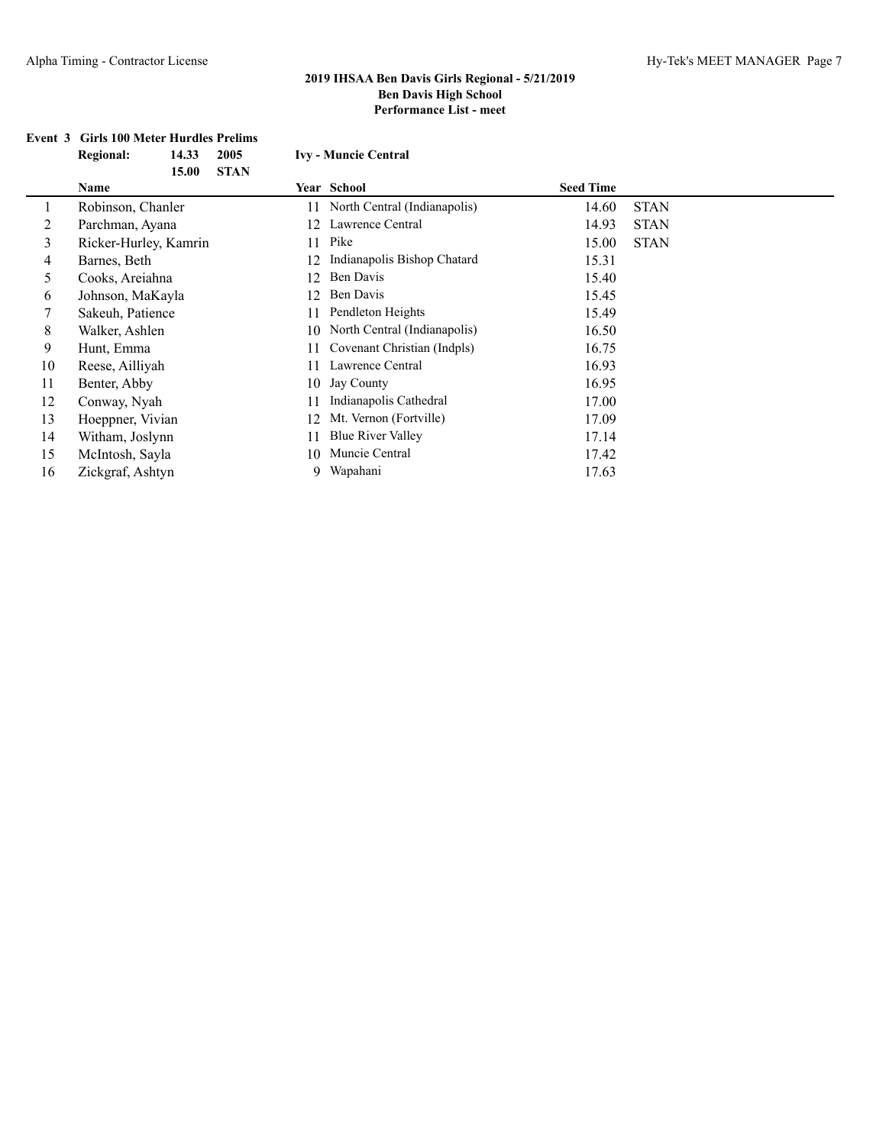# **Event 3 Girls 100 Meter Hurdles Prelims**

|         | <b>Regional:</b><br>14.33<br>15.00 | 2005<br><b>STAN</b> |    | <b>Ivy - Muncie Central</b>  |                  |             |
|---------|------------------------------------|---------------------|----|------------------------------|------------------|-------------|
|         | Name                               |                     |    | Year School                  | <b>Seed Time</b> |             |
| $\perp$ | Robinson, Chanler                  |                     | 11 | North Central (Indianapolis) | 14.60            | <b>STAN</b> |
| 2       | Parchman, Ayana                    |                     | 12 | Lawrence Central             | 14.93            | <b>STAN</b> |
| 3       | Ricker-Hurley, Kamrin              |                     | 11 | Pike                         | 15.00            | <b>STAN</b> |
| 4       | Barnes, Beth                       |                     | 12 | Indianapolis Bishop Chatard  | 15.31            |             |
| 5.      | Cooks, Areiahna                    |                     | 12 | Ben Davis                    | 15.40            |             |
| 6       | Johnson, MaKayla                   |                     | 12 | Ben Davis                    | 15.45            |             |
|         | Sakeuh, Patience                   |                     | 11 | Pendleton Heights            | 15.49            |             |
| 8       | Walker, Ashlen                     |                     | 10 | North Central (Indianapolis) | 16.50            |             |
| 9       | Hunt, Emma                         |                     | 11 | Covenant Christian (Indpls)  | 16.75            |             |
| 10      | Reese, Ailliyah                    |                     | 11 | Lawrence Central             | 16.93            |             |
| 11      | Benter, Abby                       |                     | 10 | Jay County                   | 16.95            |             |
| 12      | Conway, Nyah                       |                     | 11 | Indianapolis Cathedral       | 17.00            |             |
| 13      | Hoeppner, Vivian                   |                     | 12 | Mt. Vernon (Fortville)       | 17.09            |             |
| 14      | Witham, Joslynn                    |                     | 11 | <b>Blue River Valley</b>     | 17.14            |             |
| 15      | McIntosh, Sayla                    |                     | 10 | Muncie Central               | 17.42            |             |
| 16      | Zickgraf, Ashtyn                   |                     |    | 9 Wapahani                   | 17.63            |             |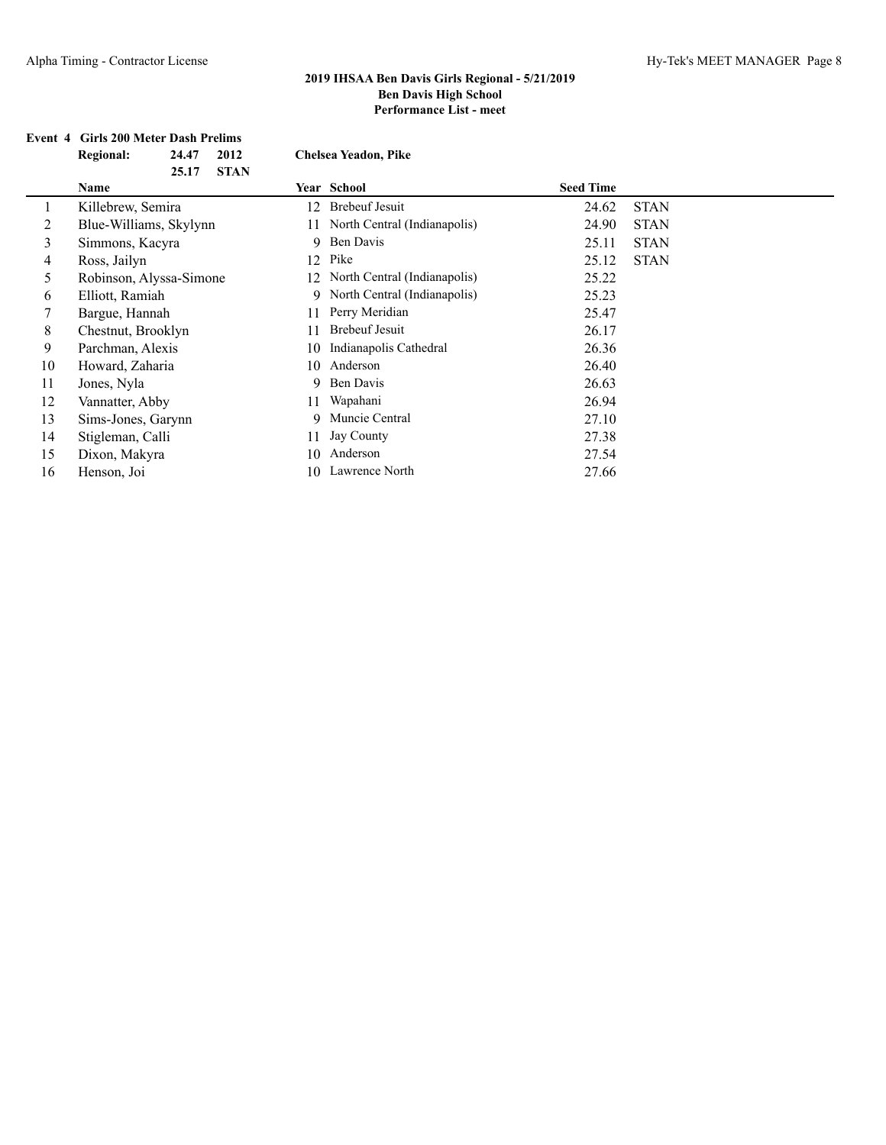# **Event 4 Girls 200 Meter Dash Prelims<br>Regional:** 24.47 2012

|    | <b>Regional:</b><br>2012<br>24.47<br><b>STAN</b><br>25.17 | <b>Chelsea Yeadon, Pike</b>        |                      |
|----|-----------------------------------------------------------|------------------------------------|----------------------|
|    | Name                                                      | Year School                        | <b>Seed Time</b>     |
|    | Killebrew, Semira                                         | <b>Brebeuf Jesuit</b><br>12        | <b>STAN</b><br>24.62 |
| 2  | Blue-Williams, Skylynn                                    | North Central (Indianapolis)<br>11 | <b>STAN</b><br>24.90 |
| 3  | Simmons, Kacyra                                           | Ben Davis<br>9                     | <b>STAN</b><br>25.11 |
| 4  | Ross, Jailyn                                              | Pike<br>12                         | <b>STAN</b><br>25.12 |
| 5  | Robinson, Alyssa-Simone                                   | North Central (Indianapolis)<br>12 | 25.22                |
| 6  | Elliott, Ramiah                                           | 9 North Central (Indianapolis)     | 25.23                |
|    | Bargue, Hannah                                            | Perry Meridian<br>11               | 25.47                |
| 8  | Chestnut, Brooklyn                                        | <b>Brebeuf Jesuit</b><br>11        | 26.17                |
| 9  | Parchman, Alexis                                          | Indianapolis Cathedral<br>10       | 26.36                |
| 10 | Howard, Zaharia                                           | Anderson<br>10                     | 26.40                |
| 11 | Jones, Nyla                                               | 9 Ben Davis                        | 26.63                |
| 12 | Vannatter, Abby                                           | Wapahani<br>11                     | 26.94                |
| 13 | Sims-Jones, Garynn                                        | 9 Muncie Central                   | 27.10                |
| 14 | Stigleman, Calli                                          | Jay County<br>11                   | 27.38                |
| 15 | Dixon, Makyra                                             | Anderson<br>10                     | 27.54                |
| 16 | Henson, Joi                                               | Lawrence North<br>10               | 27.66                |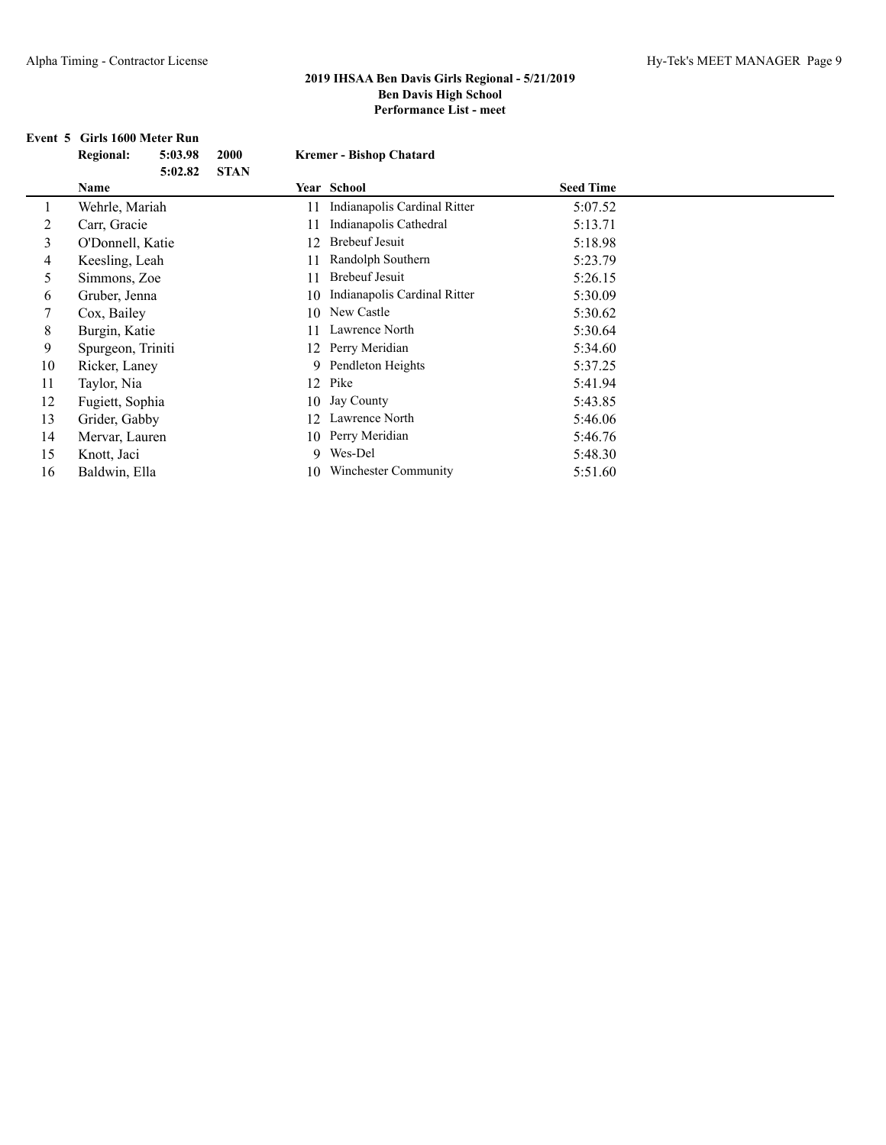#### **Event 5 Girls 1600 Meter Run**

|    | <b>Regional:</b>  | 5:03.98 | 2000        |     | <b>Kremer - Bishop Chatard</b> |                  |  |
|----|-------------------|---------|-------------|-----|--------------------------------|------------------|--|
|    |                   | 5:02.82 | <b>STAN</b> |     |                                |                  |  |
|    | Name              |         |             |     | Year School                    | <b>Seed Time</b> |  |
|    | Wehrle, Mariah    |         |             | 11  | Indianapolis Cardinal Ritter   | 5:07.52          |  |
| 2  | Carr, Gracie      |         |             | 11  | Indianapolis Cathedral         | 5:13.71          |  |
| 3  | O'Donnell, Katie  |         |             | 12  | <b>Brebeuf Jesuit</b>          | 5:18.98          |  |
| 4  | Keesling, Leah    |         |             | 11  | Randolph Southern              | 5:23.79          |  |
| 5  | Simmons, Zoe      |         |             | 11  | <b>Brebeuf Jesuit</b>          | 5:26.15          |  |
| 6  | Gruber, Jenna     |         |             | 10  | Indianapolis Cardinal Ritter   | 5:30.09          |  |
|    | Cox, Bailey       |         |             | 10  | New Castle                     | 5:30.62          |  |
| 8  | Burgin, Katie     |         |             | 11  | Lawrence North                 | 5:30.64          |  |
| 9  | Spurgeon, Triniti |         |             |     | 12 Perry Meridian              | 5:34.60          |  |
| 10 | Ricker, Laney     |         |             |     | 9 Pendleton Heights            | 5:37.25          |  |
| 11 | Taylor, Nia       |         |             | 12  | Pike                           | 5:41.94          |  |
| 12 | Fugiett, Sophia   |         |             | 10  | Jay County                     | 5:43.85          |  |
| 13 | Grider, Gabby     |         |             | 12. | Lawrence North                 | 5:46.06          |  |
| 14 | Mervar, Lauren    |         |             | 10  | Perry Meridian                 | 5:46.76          |  |
| 15 | Knott, Jaci       |         |             |     | 9 Wes-Del                      | 5:48.30          |  |
| 16 | Baldwin, Ella     |         |             | 10  | Winchester Community           | 5:51.60          |  |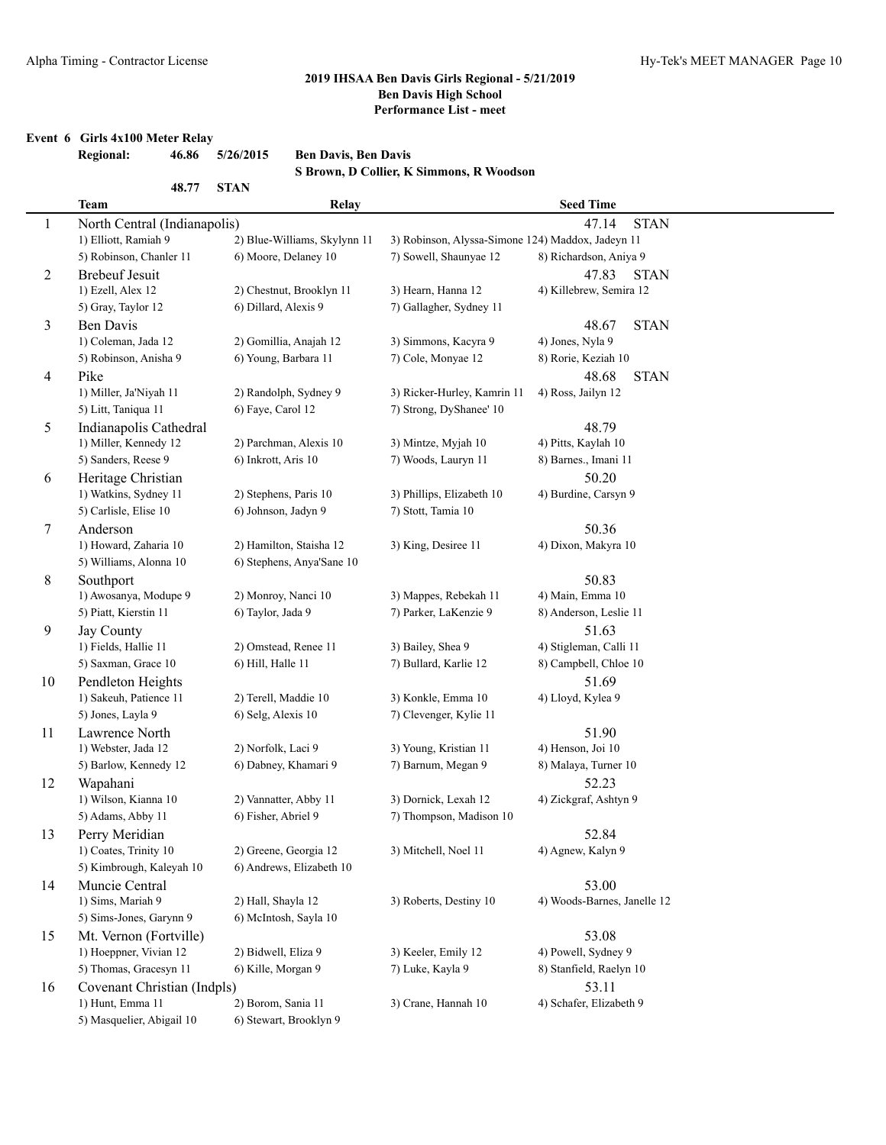# **Event 6 Girls 4x100 Meter Relay**

|                | <b>Regional:</b><br>46.86          | 5/26/2015<br><b>Ben Davis, Ben Davis</b> |                                                   |                             |
|----------------|------------------------------------|------------------------------------------|---------------------------------------------------|-----------------------------|
|                | 48.77                              | <b>STAN</b>                              | S Brown, D Collier, K Simmons, R Woodson          |                             |
|                | <b>Team</b>                        | <b>Relay</b>                             |                                                   | <b>Seed Time</b>            |
| $\mathbf{1}$   | North Central (Indianapolis)       |                                          |                                                   | 47.14<br><b>STAN</b>        |
|                | 1) Elliott, Ramiah 9               | 2) Blue-Williams, Skylynn 11             | 3) Robinson, Alyssa-Simone 124) Maddox, Jadeyn 11 |                             |
|                | 5) Robinson, Chanler 11            | 6) Moore, Delaney 10                     | 7) Sowell, Shaunyae 12                            | 8) Richardson, Aniya 9      |
| $\overline{c}$ | <b>Brebeuf Jesuit</b>              |                                          |                                                   | 47.83<br><b>STAN</b>        |
|                | 1) Ezell, Alex 12                  | 2) Chestnut, Brooklyn 11                 | 3) Hearn, Hanna 12                                | 4) Killebrew, Semira 12     |
|                | 5) Gray, Taylor 12                 | 6) Dillard, Alexis 9                     | 7) Gallagher, Sydney 11                           |                             |
| 3              | <b>Ben Davis</b>                   |                                          |                                                   | 48.67<br><b>STAN</b>        |
|                | 1) Coleman, Jada 12                | 2) Gomillia, Anajah 12                   | 3) Simmons, Kacyra 9                              | 4) Jones, Nyla 9            |
|                | 5) Robinson, Anisha 9              | 6) Young, Barbara 11                     | 7) Cole, Monyae 12                                | 8) Rorie, Keziah 10         |
| $\overline{4}$ | Pike                               |                                          |                                                   | 48.68<br><b>STAN</b>        |
|                | 1) Miller, Ja'Niyah 11             | 2) Randolph, Sydney 9                    | 3) Ricker-Hurley, Kamrin 11                       | 4) Ross, Jailyn 12          |
|                | 5) Litt, Taniqua 11                | 6) Faye, Carol 12                        | 7) Strong, DyShanee' 10                           |                             |
| 5              | Indianapolis Cathedral             |                                          |                                                   | 48.79                       |
|                | 1) Miller, Kennedy 12              | 2) Parchman, Alexis 10                   | 3) Mintze, Myjah 10                               | 4) Pitts, Kaylah 10         |
|                | 5) Sanders, Reese 9                | 6) Inkrott, Aris 10                      | 7) Woods, Lauryn 11                               | 8) Barnes., Imani 11        |
| 6              | Heritage Christian                 |                                          |                                                   | 50.20                       |
|                | 1) Watkins, Sydney 11              | 2) Stephens, Paris 10                    | 3) Phillips, Elizabeth 10                         | 4) Burdine, Carsyn 9        |
|                | 5) Carlisle, Elise 10              | 6) Johnson, Jadyn 9                      | 7) Stott, Tamia 10                                |                             |
| $\tau$         | Anderson                           |                                          |                                                   | 50.36                       |
|                | 1) Howard, Zaharia 10              | 2) Hamilton, Staisha 12                  | 3) King, Desiree 11                               | 4) Dixon, Makyra 10         |
|                | 5) Williams, Alonna 10             | 6) Stephens, Anya'Sane 10                |                                                   |                             |
| 8              | Southport<br>1) Awosanya, Modupe 9 | 2) Monroy, Nanci 10                      | 3) Mappes, Rebekah 11                             | 50.83<br>4) Main, Emma 10   |
|                | 5) Piatt, Kierstin 11              | 6) Taylor, Jada 9                        | 7) Parker, LaKenzie 9                             | 8) Anderson, Leslie 11      |
| 9              | Jay County                         |                                          |                                                   | 51.63                       |
|                | 1) Fields, Hallie 11               | 2) Omstead, Renee 11                     | 3) Bailey, Shea 9                                 | 4) Stigleman, Calli 11      |
|                | 5) Saxman, Grace 10                | 6) Hill, Halle 11                        | 7) Bullard, Karlie 12                             | 8) Campbell, Chloe 10       |
| 10             | Pendleton Heights                  |                                          |                                                   | 51.69                       |
|                | 1) Sakeuh, Patience 11             | 2) Terell, Maddie 10                     | 3) Konkle, Emma 10                                | 4) Lloyd, Kylea 9           |
|                | 5) Jones, Layla 9                  | 6) Selg, Alexis 10                       | 7) Clevenger, Kylie 11                            |                             |
| 11             | Lawrence North                     |                                          |                                                   | 51.90                       |
|                | 1) Webster, Jada 12                | 2) Norfolk, Laci 9                       | 3) Young, Kristian 11                             | 4) Henson, Joi 10           |
|                | 5) Barlow, Kennedy 12              | 6) Dabney, Khamari 9                     | 7) Barnum, Megan 9                                | 8) Malaya, Turner 10        |
| 12             | Wapahani                           |                                          |                                                   | 52.23                       |
|                | 1) Wilson, Kianna 10               | 2) Vannatter, Abby 11                    | 3) Dornick, Lexah 12                              | 4) Zickgraf, Ashtyn 9       |
|                | 5) Adams, Abby 11                  | 6) Fisher, Abriel 9                      | 7) Thompson, Madison 10                           |                             |
| 13             | Perry Meridian                     |                                          |                                                   | 52.84                       |
|                | 1) Coates, Trinity 10              | 2) Greene, Georgia 12                    | 3) Mitchell, Noel 11                              | 4) Agnew, Kalyn 9           |
|                | 5) Kimbrough, Kaleyah 10           | 6) Andrews, Elizabeth 10                 |                                                   |                             |
| 14             | Muncie Central                     |                                          |                                                   | 53.00                       |
|                | 1) Sims, Mariah 9                  | 2) Hall, Shayla 12                       | 3) Roberts, Destiny 10                            | 4) Woods-Barnes, Janelle 12 |
|                | 5) Sims-Jones, Garynn 9            | 6) McIntosh, Sayla 10                    |                                                   |                             |
| 15             | Mt. Vernon (Fortville)             |                                          |                                                   | 53.08                       |
|                | 1) Hoeppner, Vivian 12             | 2) Bidwell, Eliza 9                      | 3) Keeler, Emily 12                               | 4) Powell, Sydney 9         |
|                | 5) Thomas, Gracesyn 11             | 6) Kille, Morgan 9                       | 7) Luke, Kayla 9                                  | 8) Stanfield, Raelyn 10     |
| 16             | Covenant Christian (Indpls)        |                                          |                                                   | 53.11                       |
|                | 1) Hunt, Emma 11                   | 2) Borom, Sania 11                       | 3) Crane, Hannah 10                               | 4) Schafer, Elizabeth 9     |
|                | 5) Masquelier, Abigail 10          | 6) Stewart, Brooklyn 9                   |                                                   |                             |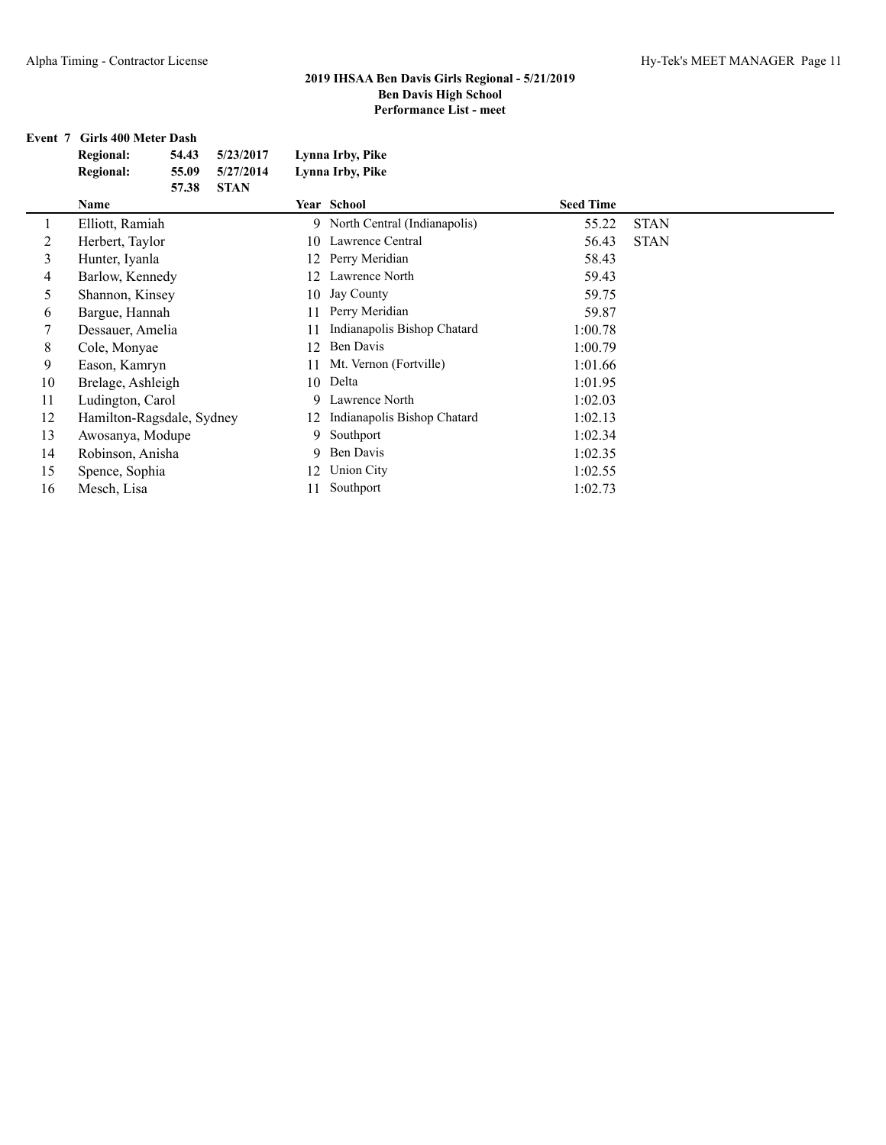# **Event 7 Girls 400 Meter Dash**

|    | <b>Regional:</b>          | 54.43 | 5/23/2017   |     | Lynna Irby, Pike               |                  |             |
|----|---------------------------|-------|-------------|-----|--------------------------------|------------------|-------------|
|    | <b>Regional:</b>          | 55.09 | 5/27/2014   |     | Lynna Irby, Pike               |                  |             |
|    |                           | 57.38 | <b>STAN</b> |     |                                |                  |             |
|    | Name                      |       |             |     | Year School                    | <b>Seed Time</b> |             |
|    | Elliott, Ramiah           |       |             |     | 9 North Central (Indianapolis) | 55.22            | <b>STAN</b> |
| 2  | Herbert, Taylor           |       |             | 10  | Lawrence Central               | 56.43            | <b>STAN</b> |
| 3  | Hunter, Iyanla            |       |             | 12. | Perry Meridian                 | 58.43            |             |
| 4  | Barlow, Kennedy           |       |             | 12. | Lawrence North                 | 59.43            |             |
| 5  | Shannon, Kinsey           |       |             | 10  | Jay County                     | 59.75            |             |
| 6  | Bargue, Hannah            |       |             | 11  | Perry Meridian                 | 59.87            |             |
| 7  | Dessauer, Amelia          |       |             | 11  | Indianapolis Bishop Chatard    | 1:00.78          |             |
| 8  | Cole, Monyae              |       |             | 12  | Ben Davis                      | 1:00.79          |             |
| 9  | Eason, Kamryn             |       |             |     | Mt. Vernon (Fortville)         | 1:01.66          |             |
| 10 | Brelage, Ashleigh         |       |             | 10  | Delta                          | 1:01.95          |             |
| 11 | Ludington, Carol          |       |             | 9   | Lawrence North                 | 1:02.03          |             |
| 12 | Hamilton-Ragsdale, Sydney |       |             | 12  | Indianapolis Bishop Chatard    | 1:02.13          |             |
| 13 | Awosanya, Modupe          |       |             | 9   | Southport                      | 1:02.34          |             |
| 14 | Robinson, Anisha          |       |             | 9   | Ben Davis                      | 1:02.35          |             |
| 15 | Spence, Sophia            |       |             | 12. | Union City                     | 1:02.55          |             |
|    |                           |       |             |     |                                |                  |             |

16 Mesch, Lisa 11 Southport 1:02.73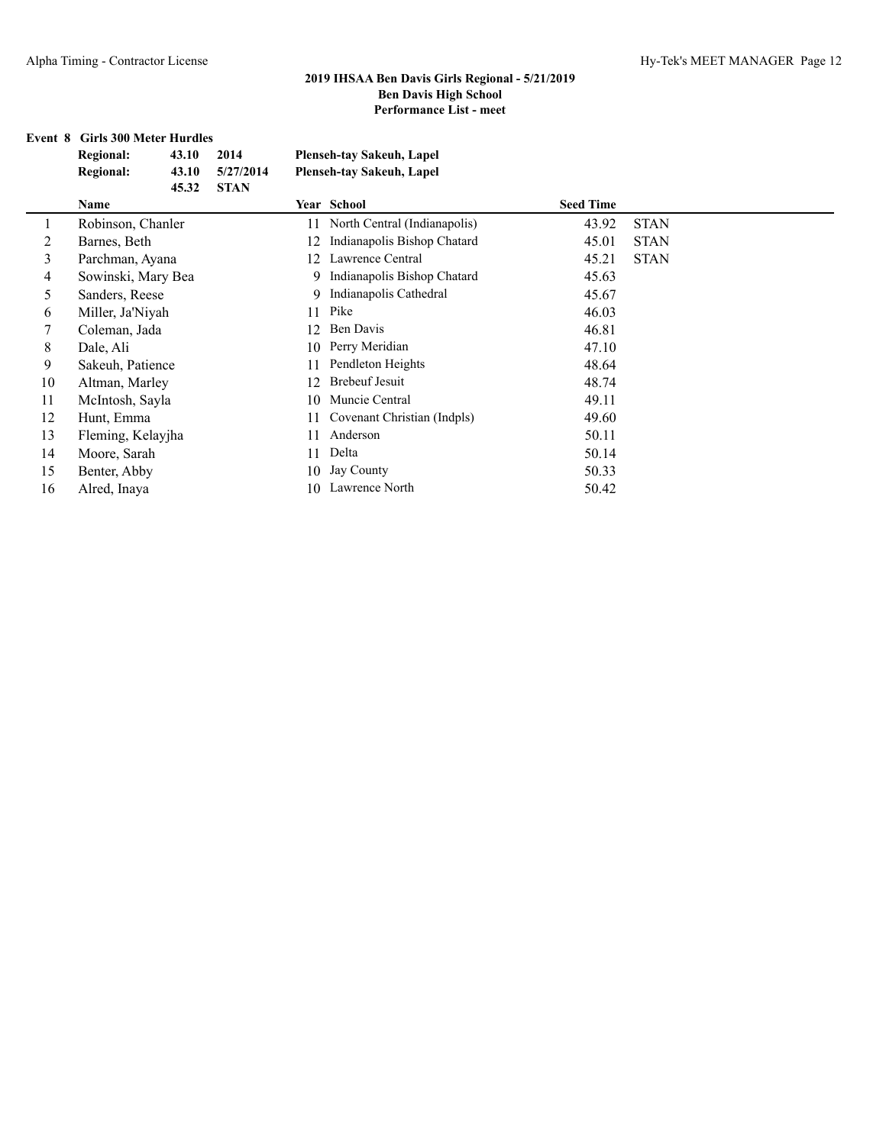## **Event 8 Girls 300 Meter Hurdles**

|    | <b>Regional:</b><br>43.10 | 2014        |    | <b>Plenseh-tay Sakeuh, Lapel</b> |                  |             |
|----|---------------------------|-------------|----|----------------------------------|------------------|-------------|
|    | <b>Regional:</b><br>43.10 | 5/27/2014   |    | Plenseh-tay Sakeuh, Lapel        |                  |             |
|    | 45.32                     | <b>STAN</b> |    |                                  |                  |             |
|    | Name                      |             |    | Year School                      | <b>Seed Time</b> |             |
| 1  | Robinson, Chanler         |             | 11 | North Central (Indianapolis)     | 43.92            | <b>STAN</b> |
| 2  | Barnes, Beth              |             | 12 | Indianapolis Bishop Chatard      | 45.01            | <b>STAN</b> |
| 3  | Parchman, Ayana           |             | 12 | Lawrence Central                 | 45.21            | <b>STAN</b> |
| 4  | Sowinski, Mary Bea        |             | 9  | Indianapolis Bishop Chatard      | 45.63            |             |
| 5  | Sanders, Reese            |             | 9  | Indianapolis Cathedral           | 45.67            |             |
| 6  | Miller, Ja'Niyah          |             | 11 | Pike                             | 46.03            |             |
| 7  | Coleman, Jada             |             | 12 | Ben Davis                        | 46.81            |             |
| 8  | Dale, Ali                 |             | 10 | Perry Meridian                   | 47.10            |             |
| 9  | Sakeuh, Patience          |             | 11 | Pendleton Heights                | 48.64            |             |
| 10 | Altman, Marley            |             | 12 | <b>Brebeuf Jesuit</b>            | 48.74            |             |
| 11 | McIntosh, Sayla           |             | 10 | Muncie Central                   | 49.11            |             |
| 12 | Hunt, Emma                |             | 11 | Covenant Christian (Indpls)      | 49.60            |             |
| 13 | Fleming, Kelayjha         |             | 11 | Anderson                         | 50.11            |             |
| 14 | Moore, Sarah              |             | 11 | Delta                            | 50.14            |             |
| 15 | Benter, Abby              |             | 10 | Jay County                       | 50.33            |             |
| 16 | Alred, Inaya              |             | 10 | Lawrence North                   | 50.42            |             |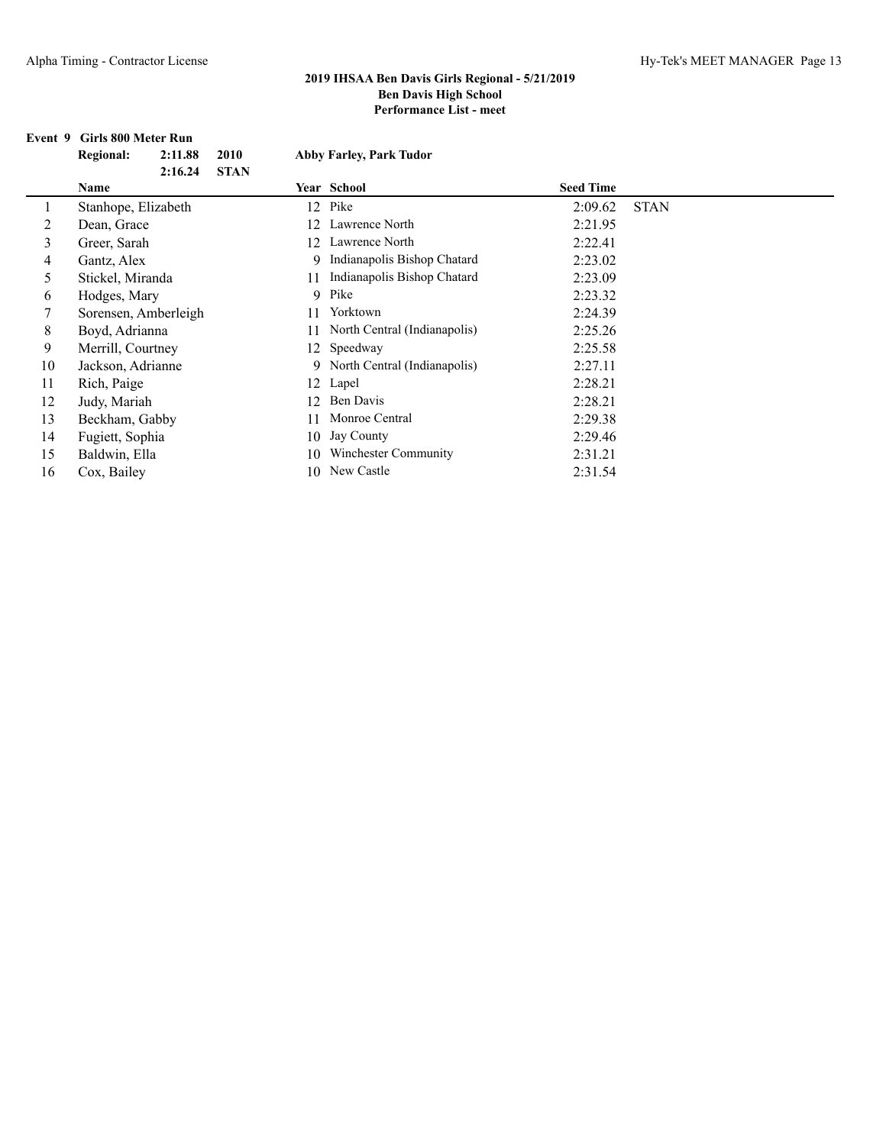# **Event 9 Girls 800 Meter Run<br>Regional: 2:11.88 2010**

|    | <b>Regional:</b>     | 2:11.88<br>2:16.24 | 2010<br><b>STAN</b> |    | <b>Abby Farley, Park Tudor</b> |                  |             |
|----|----------------------|--------------------|---------------------|----|--------------------------------|------------------|-------------|
|    | Name                 |                    |                     |    | Year School                    | <b>Seed Time</b> |             |
|    | Stanhope, Elizabeth  |                    |                     |    | 12 Pike                        | 2:09.62          | <b>STAN</b> |
| 2  | Dean, Grace          |                    |                     | 12 | Lawrence North                 | 2:21.95          |             |
| 3  | Greer, Sarah         |                    |                     | 12 | Lawrence North                 | 2:22.41          |             |
| 4  | Gantz, Alex          |                    |                     | 9  | Indianapolis Bishop Chatard    | 2:23.02          |             |
| 5  | Stickel, Miranda     |                    |                     | 11 | Indianapolis Bishop Chatard    | 2:23.09          |             |
| 6  | Hodges, Mary         |                    |                     |    | 9 Pike                         | 2:23.32          |             |
|    | Sorensen, Amberleigh |                    |                     | 11 | Yorktown                       | 2:24.39          |             |
| 8  | Boyd, Adrianna       |                    |                     | 11 | North Central (Indianapolis)   | 2:25.26          |             |
| 9  | Merrill, Courtney    |                    |                     |    | 12 Speedway                    | 2:25.58          |             |
| 10 | Jackson, Adrianne    |                    |                     |    | 9 North Central (Indianapolis) | 2:27.11          |             |
| 11 | Rich, Paige          |                    |                     |    | 12 Lapel                       | 2:28.21          |             |
| 12 | Judy, Mariah         |                    |                     | 12 | Ben Davis                      | 2:28.21          |             |
| 13 | Beckham, Gabby       |                    |                     | 11 | Monroe Central                 | 2:29.38          |             |
| 14 | Fugiett, Sophia      |                    |                     | 10 | Jay County                     | 2:29.46          |             |
| 15 | Baldwin, Ella        |                    |                     | 10 | Winchester Community           | 2:31.21          |             |
| 16 | Cox, Bailey          |                    |                     | 10 | New Castle                     | 2:31.54          |             |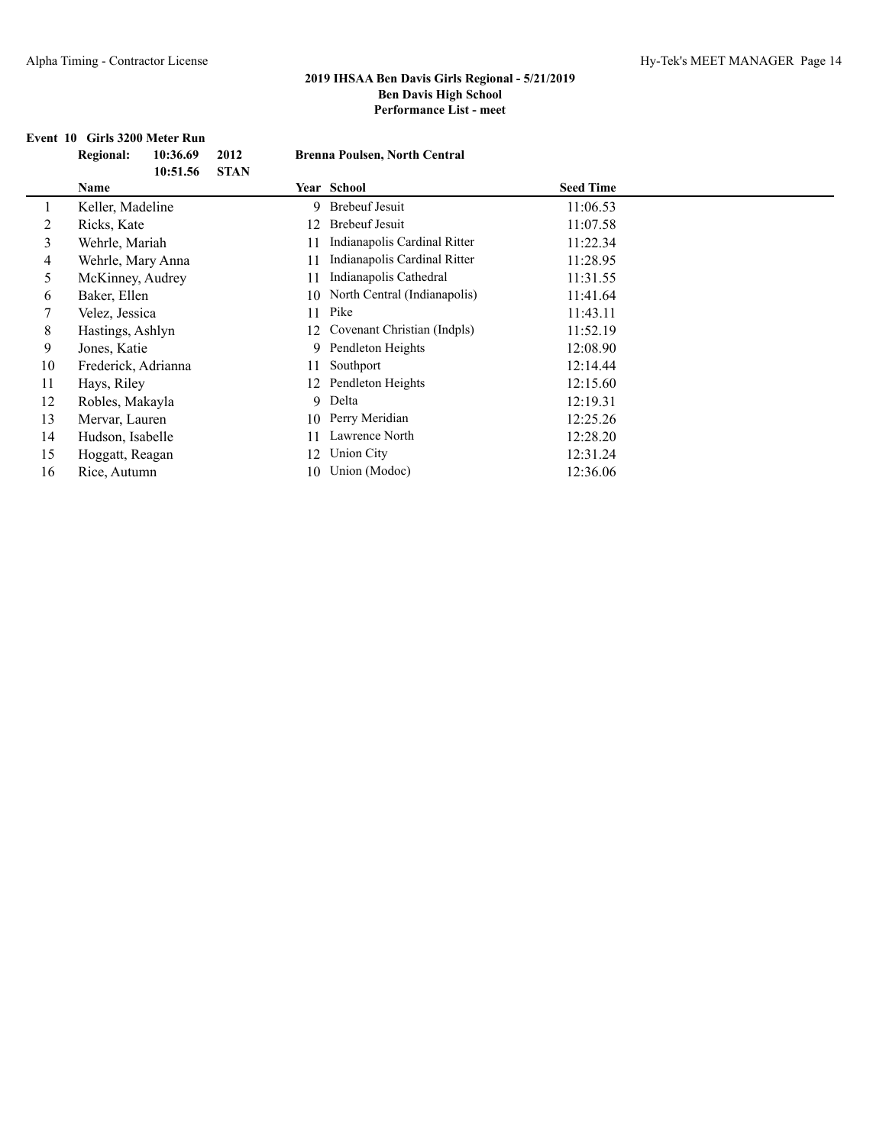# **Event 10 Girls 3200 Meter Run<br>Regional: 10:36.69 2012**

|    | 10:36.69<br><b>Regional:</b><br>10:51.56 | 2012<br><b>STAN</b> |    | <b>Brenna Poulsen, North Central</b> |                  |  |  |
|----|------------------------------------------|---------------------|----|--------------------------------------|------------------|--|--|
|    | <b>Name</b>                              |                     |    | Year School                          | <b>Seed Time</b> |  |  |
|    | Keller, Madeline                         |                     |    | 9 Brebeuf Jesuit                     | 11:06.53         |  |  |
| 2  | Ricks, Kate                              |                     | 12 | <b>Brebeuf Jesuit</b>                | 11:07.58         |  |  |
| 3  | Wehrle, Mariah                           |                     | 11 | Indianapolis Cardinal Ritter         | 11:22.34         |  |  |
| 4  | Wehrle, Mary Anna                        |                     | 11 | Indianapolis Cardinal Ritter         | 11:28.95         |  |  |
| 5  | McKinney, Audrey                         |                     | 11 | Indianapolis Cathedral               | 11:31.55         |  |  |
| 6  | Baker, Ellen                             |                     | 10 | North Central (Indianapolis)         | 11:41.64         |  |  |
|    | Velez, Jessica                           |                     | 11 | Pike                                 | 11:43.11         |  |  |
| 8  | Hastings, Ashlyn                         |                     | 12 | Covenant Christian (Indpls)          | 11:52.19         |  |  |
| 9  | Jones, Katie                             |                     |    | 9 Pendleton Heights                  | 12:08.90         |  |  |
| 10 | Frederick, Adrianna                      |                     | 11 | Southport                            | 12:14.44         |  |  |
| 11 | Hays, Riley                              |                     | 12 | Pendleton Heights                    | 12:15.60         |  |  |
| 12 | Robles, Makayla                          |                     | 9  | Delta                                | 12:19.31         |  |  |
| 13 | Mervar, Lauren                           |                     |    | 10 Perry Meridian                    | 12:25.26         |  |  |
| 14 | Hudson, Isabelle                         |                     | 11 | Lawrence North                       | 12:28.20         |  |  |
| 15 | Hoggatt, Reagan                          |                     | 12 | Union City                           | 12:31.24         |  |  |
| 16 | Rice, Autumn                             |                     | 10 | Union (Modoc)                        | 12:36.06         |  |  |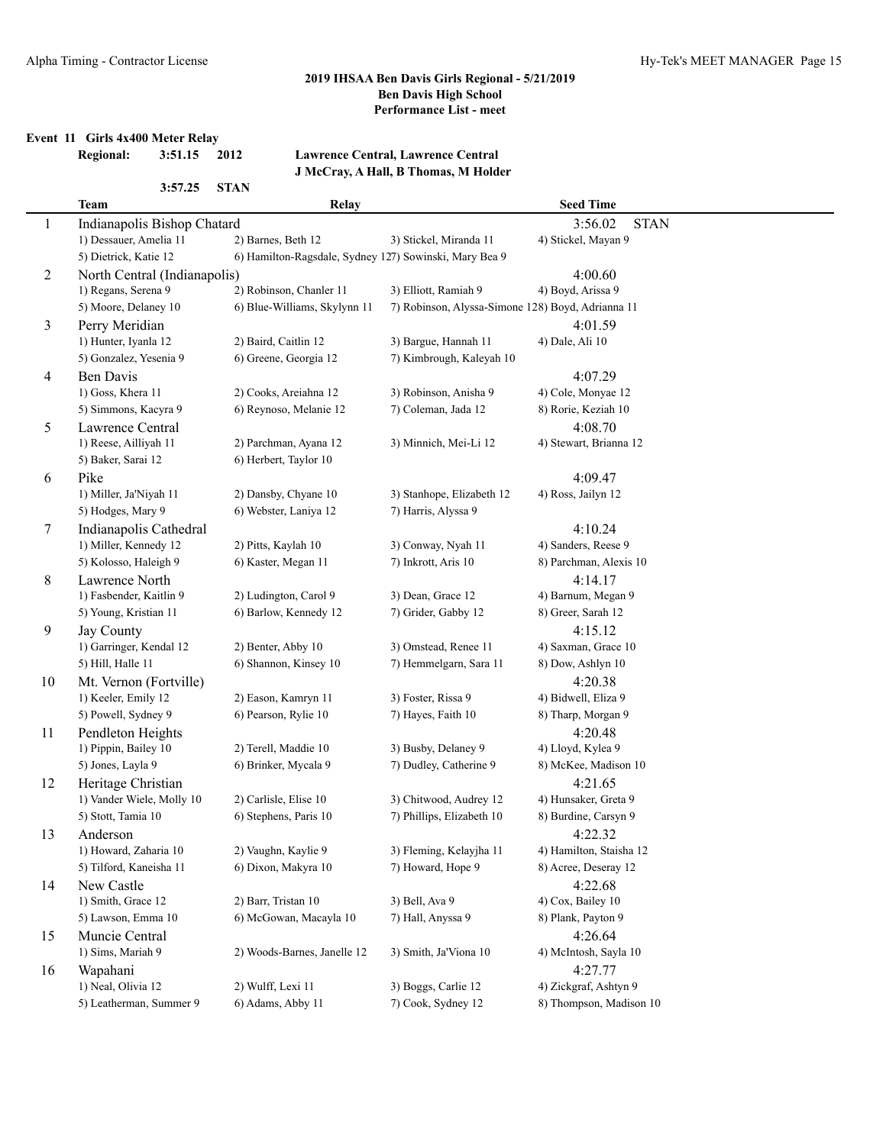### **Event 11 Girls 4x400 Meter Relay**

**3:57.25 STAN**

## **Regional: 3:51.15 2012 Lawrence Central, Lawrence Central J McCray, A Hall, B Thomas, M Holder**

|                | <b>Team</b>                                                            | Relay                                                  |                                                   | <b>Seed Time</b>        |  |
|----------------|------------------------------------------------------------------------|--------------------------------------------------------|---------------------------------------------------|-------------------------|--|
| 1              | Indianapolis Bishop Chatard                                            |                                                        |                                                   | <b>STAN</b><br>3:56.02  |  |
|                | 1) Dessauer, Amelia 11                                                 | 2) Barnes, Beth 12                                     | 3) Stickel, Miranda 11                            | 4) Stickel, Mayan 9     |  |
|                | 5) Dietrick, Katie 12                                                  | 6) Hamilton-Ragsdale, Sydney 127) Sowinski, Mary Bea 9 |                                                   |                         |  |
| $\overline{c}$ | North Central (Indianapolis)<br>4:00.60                                |                                                        |                                                   |                         |  |
|                | 2) Robinson, Chanler 11<br>1) Regans, Serena 9<br>3) Elliott, Ramiah 9 |                                                        | 4) Boyd, Arissa 9                                 |                         |  |
|                | 5) Moore, Delaney 10                                                   | 6) Blue-Williams, Skylynn 11                           | 7) Robinson, Alyssa-Simone 128) Boyd, Adrianna 11 |                         |  |
| 3              | Perry Meridian                                                         |                                                        |                                                   | 4:01.59                 |  |
|                | 1) Hunter, Iyanla 12                                                   | 2) Baird, Caitlin 12                                   | 3) Bargue, Hannah 11                              | 4) Dale, Ali 10         |  |
|                | 5) Gonzalez, Yesenia 9                                                 | 6) Greene, Georgia 12                                  | 7) Kimbrough, Kaleyah 10                          |                         |  |
|                |                                                                        |                                                        |                                                   |                         |  |
| 4              | <b>Ben Davis</b>                                                       |                                                        |                                                   | 4:07.29                 |  |
|                | 1) Goss, Khera 11                                                      | 2) Cooks, Areiahna 12                                  | 3) Robinson, Anisha 9                             | 4) Cole, Monyae 12      |  |
|                | 5) Simmons, Kacyra 9                                                   | 6) Reynoso, Melanie 12                                 | 7) Coleman, Jada 12                               | 8) Rorie, Keziah 10     |  |
| 5              | Lawrence Central                                                       |                                                        |                                                   | 4:08.70                 |  |
|                | 1) Reese, Ailliyah 11                                                  | 2) Parchman, Ayana 12                                  | 3) Minnich, Mei-Li 12                             | 4) Stewart, Brianna 12  |  |
|                | 5) Baker, Sarai 12                                                     | 6) Herbert, Taylor 10                                  |                                                   |                         |  |
| 6              | Pike                                                                   |                                                        |                                                   | 4:09.47                 |  |
|                | 1) Miller, Ja'Niyah 11                                                 | 2) Dansby, Chyane 10                                   | 3) Stanhope, Elizabeth 12                         | 4) Ross, Jailyn 12      |  |
|                | 5) Hodges, Mary 9                                                      | 6) Webster, Laniya 12                                  | 7) Harris, Alyssa 9                               |                         |  |
| 7              | Indianapolis Cathedral                                                 |                                                        |                                                   | 4:10.24                 |  |
|                | 1) Miller, Kennedy 12                                                  | 2) Pitts, Kaylah 10                                    | 3) Conway, Nyah 11                                | 4) Sanders, Reese 9     |  |
|                | 5) Kolosso, Haleigh 9                                                  | 6) Kaster, Megan 11                                    | 7) Inkrott, Aris 10                               | 8) Parchman, Alexis 10  |  |
| 8              | Lawrence North                                                         |                                                        |                                                   | 4:14.17                 |  |
|                | 1) Fasbender, Kaitlin 9                                                | 2) Ludington, Carol 9                                  | 3) Dean, Grace 12                                 | 4) Barnum, Megan 9      |  |
|                | 5) Young, Kristian 11                                                  | 6) Barlow, Kennedy 12                                  | 7) Grider, Gabby 12                               | 8) Greer, Sarah 12      |  |
| 9              | Jay County                                                             |                                                        |                                                   | 4:15.12                 |  |
|                | 1) Garringer, Kendal 12                                                | 2) Benter, Abby 10                                     | 3) Omstead, Renee 11                              | 4) Saxman, Grace 10     |  |
|                | 5) Hill, Halle 11                                                      | 6) Shannon, Kinsey 10                                  | 7) Hemmelgarn, Sara 11                            | 8) Dow, Ashlyn 10       |  |
| 10             | Mt. Vernon (Fortville)                                                 |                                                        |                                                   | 4:20.38                 |  |
|                | 1) Keeler, Emily 12                                                    | 2) Eason, Kamryn 11                                    | 3) Foster, Rissa 9                                | 4) Bidwell, Eliza 9     |  |
|                | 5) Powell, Sydney 9                                                    | 6) Pearson, Rylie 10                                   | 7) Hayes, Faith 10                                | 8) Tharp, Morgan 9      |  |
| 11             | Pendleton Heights                                                      |                                                        |                                                   | 4:20.48                 |  |
|                | 1) Pippin, Bailey 10                                                   | 2) Terell, Maddie 10                                   | 3) Busby, Delaney 9                               | 4) Lloyd, Kylea 9       |  |
|                | 5) Jones, Layla 9                                                      | 6) Brinker, Mycala 9                                   | 7) Dudley, Catherine 9                            | 8) McKee, Madison 10    |  |
|                | Heritage Christian                                                     |                                                        |                                                   | 4:21.65                 |  |
| 12             | 1) Vander Wiele, Molly 10                                              |                                                        | 3) Chitwood, Audrey 12                            |                         |  |
|                |                                                                        | 2) Carlisle, Elise 10                                  | 7) Phillips, Elizabeth 10                         | 4) Hunsaker, Greta 9    |  |
|                | 5) Stott, Tamia 10                                                     | 6) Stephens, Paris 10                                  |                                                   | 8) Burdine, Carsyn 9    |  |
| 13             | Anderson                                                               |                                                        |                                                   | 4:22.32                 |  |
|                | 1) Howard, Zaharia 10                                                  | 2) Vaughn, Kaylie 9                                    | 3) Fleming, Kelayjha 11                           | 4) Hamilton, Staisha 12 |  |
|                | 5) Tilford, Kaneisha 11                                                | 6) Dixon, Makyra 10                                    | 7) Howard, Hope 9                                 | 8) Acree, Deseray 12    |  |
| 14             | New Castle                                                             |                                                        |                                                   | 4:22.68                 |  |
|                | 1) Smith, Grace 12                                                     | 2) Barr, Tristan 10                                    | 3) Bell, Ava 9                                    | 4) Cox, Bailey 10       |  |
|                | 5) Lawson, Emma 10                                                     | 6) McGowan, Macayla 10                                 | 7) Hall, Anyssa 9                                 | 8) Plank, Payton 9      |  |
| 15             | Muncie Central                                                         |                                                        |                                                   | 4:26.64                 |  |
|                | 1) Sims, Mariah 9                                                      | 2) Woods-Barnes, Janelle 12                            | 3) Smith, Ja'Viona 10                             | 4) McIntosh, Sayla 10   |  |
| 16             | Wapahani                                                               |                                                        |                                                   | 4:27.77                 |  |
|                | 1) Neal, Olivia 12                                                     | 2) Wulff, Lexi 11                                      | 3) Boggs, Carlie 12                               | 4) Zickgraf, Ashtyn 9   |  |
|                | 5) Leatherman, Summer 9                                                | 6) Adams, Abby 11                                      | 7) Cook, Sydney 12                                | 8) Thompson, Madison 10 |  |